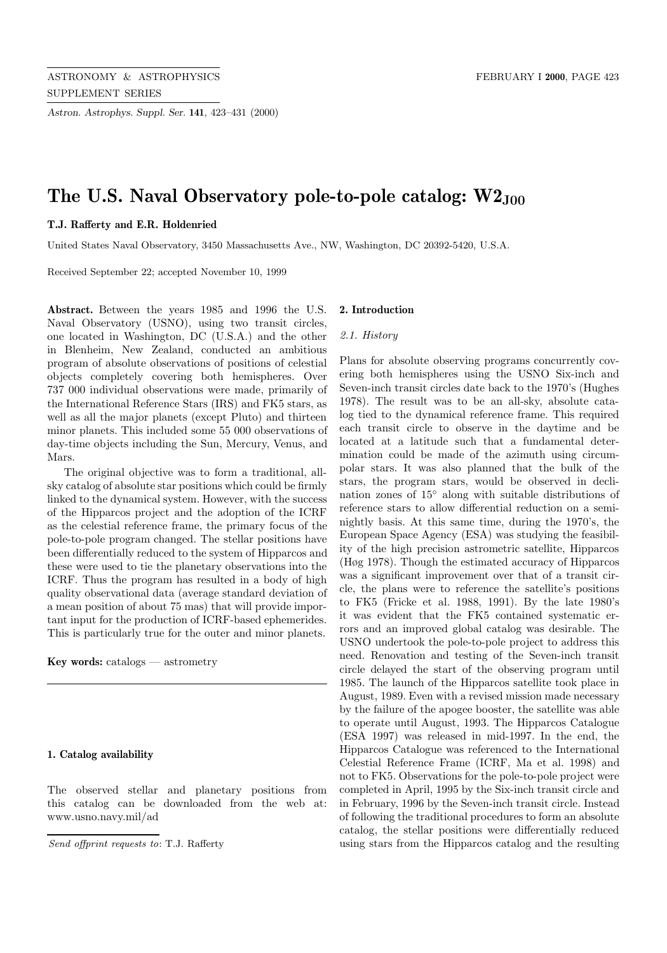*Astron. Astrophys. Suppl. Ser.* **141**, 423–431 (2000)

# The U.S. Naval Observatory pole-to-pole catalog:  $W2_{J00}$

# **T.J. Rafferty and E.R. Holdenried**

United States Naval Observatory, 3450 Massachusetts Ave., NW, Washington, DC 20392-5420, U.S.A.

Received September 22; accepted November 10, 1999

**Abstract.** Between the years 1985 and 1996 the U.S. Naval Observatory (USNO), using two transit circles, one located in Washington, DC (U.S.A.) and the other in Blenheim, New Zealand, conducted an ambitious program of absolute observations of positions of celestial objects completely covering both hemispheres. Over 737 000 individual observations were made, primarily of the International Reference Stars (IRS) and FK5 stars, as well as all the major planets (except Pluto) and thirteen minor planets. This included some 55 000 observations of day-time objects including the Sun, Mercury, Venus, and Mars.

The original objective was to form a traditional, allsky catalog of absolute star positions which could be firmly linked to the dynamical system. However, with the success of the Hipparcos project and the adoption of the ICRF as the celestial reference frame, the primary focus of the pole-to-pole program changed. The stellar positions have been differentially reduced to the system of Hipparcos and these were used to tie the planetary observations into the ICRF. Thus the program has resulted in a body of high quality observational data (average standard deviation of a mean position of about 75 mas) that will provide important input for the production of ICRF-based ephemerides. This is particularly true for the outer and minor planets.

**Key words:** catalogs — astrometry

#### **1. Catalog availability**

The observed stellar and planetary positions from this catalog can be downloaded from the web at: www.usno.navy.mil/ad

#### **2. Introduction**

#### 2.1. History

Plans for absolute observing programs concurrently covering both hemispheres using the USNO Six-inch and Seven-inch transit circles date back to the 1970's (Hughes 1978). The result was to be an all-sky, absolute catalog tied to the dynamical reference frame. This required each transit circle to observe in the daytime and be located at a latitude such that a fundamental determination could be made of the azimuth using circumpolar stars. It was also planned that the bulk of the stars, the program stars, would be observed in declination zones of 15◦ along with suitable distributions of reference stars to allow differential reduction on a seminightly basis. At this same time, during the 1970's, the European Space Agency (ESA) was studying the feasibility of the high precision astrometric satellite, Hipparcos (Høg 1978). Though the estimated accuracy of Hipparcos was a significant improvement over that of a transit circle, the plans were to reference the satellite's positions to FK5 (Fricke et al. 1988, 1991). By the late 1980's it was evident that the FK5 contained systematic errors and an improved global catalog was desirable. The USNO undertook the pole-to-pole project to address this need. Renovation and testing of the Seven-inch transit circle delayed the start of the observing program until 1985. The launch of the Hipparcos satellite took place in August, 1989. Even with a revised mission made necessary by the failure of the apogee booster, the satellite was able to operate until August, 1993. The Hipparcos Catalogue (ESA 1997) was released in mid-1997. In the end, the Hipparcos Catalogue was referenced to the International Celestial Reference Frame (ICRF, Ma et al. 1998) and not to FK5. Observations for the pole-to-pole project were completed in April, 1995 by the Six-inch transit circle and in February, 1996 by the Seven-inch transit circle. Instead of following the traditional procedures to form an absolute catalog, the stellar positions were differentially reduced using stars from the Hipparcos catalog and the resulting

Send offprint requests to: T.J. Rafferty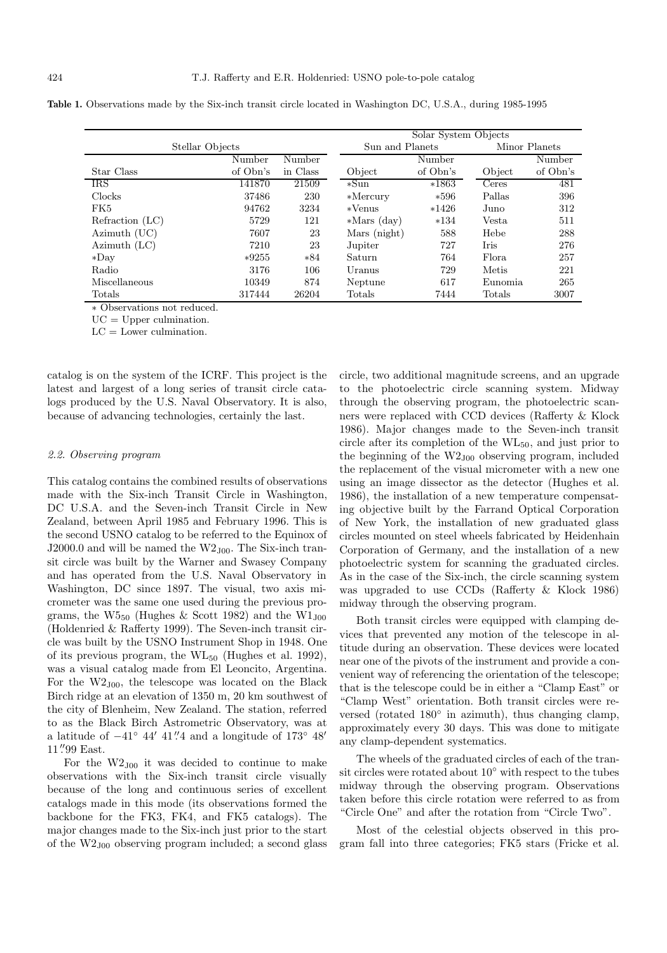|                 |                 |          | Solar System Objects |          |         |               |  |  |
|-----------------|-----------------|----------|----------------------|----------|---------|---------------|--|--|
|                 | Stellar Objects |          | Sun and Planets      |          |         | Minor Planets |  |  |
|                 | Number          | Number   |                      | Number   |         | Number        |  |  |
| Star Class      | of Obn's        | in Class | Object               | of Obn's | Object  | of Obn's      |  |  |
| <b>IRS</b>      | 141870          | 21509    | $*Sum$               | $*1863$  | Ceres   | 481           |  |  |
| Clocks          | 37486           | 230      | $*$ Mercury          | $*596$   | Pallas  | 396           |  |  |
| FK5             | 94762           | 3234     | *Venus               | $*1426$  | Juno    | 312           |  |  |
| Refraction (LC) | 5729            | 121      | $*Mars (day)$        | $*134$   | Vesta   | 511           |  |  |
| Azimuth (UC)    | 7607            | 23       | Mars (night)         | 588      | Hebe    | 288           |  |  |
| Azimuth $(LC)$  | 7210            | 23       | Jupiter              | 727      | Iris    | 276           |  |  |
| $*$ Dav         | $*9255$         | $*84$    | Saturn               | 764      | Flora.  | 257           |  |  |
| Radio           | 3176            | 106      | Uranus               | 729      | Metis   | 221           |  |  |
| Miscellaneous   | 10349           | 874      | Neptune              | 617      | Eunomia | 265           |  |  |
| Totals          | 317444          | 26204    | Totals               | 7444     | Totals  | 3007          |  |  |

Table 1. Observations made by the Six-inch transit circle located in Washington DC, U.S.A., during 1985-1995

∗ Observations not reduced.

 $UC = Upper$  culmination.

 $LC =$  Lower culmination.

catalog is on the system of the ICRF. This project is the latest and largest of a long series of transit circle catalogs produced by the U.S. Naval Observatory. It is also, because of advancing technologies, certainly the last.

#### 2.2. Observing program

This catalog contains the combined results of observations made with the Six-inch Transit Circle in Washington, DC U.S.A. and the Seven-inch Transit Circle in New Zealand, between April 1985 and February 1996. This is the second USNO catalog to be referred to the Equinox of J2000.0 and will be named the  $W2_{J00}$ . The Six-inch transit circle was built by the Warner and Swasey Company and has operated from the U.S. Naval Observatory in Washington, DC since 1897. The visual, two axis micrometer was the same one used during the previous programs, the  $W5_{50}$  (Hughes & Scott 1982) and the  $W1_{J00}$ (Holdenried & Rafferty 1999). The Seven-inch transit circle was built by the USNO Instrument Shop in 1948. One of its previous program, the  $WL_{50}$  (Hughes et al. 1992), was a visual catalog made from El Leoncito, Argentina. For the  $W2_{J00}$ , the telescope was located on the Black Birch ridge at an elevation of 1350 m, 20 km southwest of the city of Blenheim, New Zealand. The station, referred to as the Black Birch Astrometric Observatory, was at a latitude of  $-41°$  44' 41". And a longitude of  $173°$  48' 11" 99 East.

For the  $W2_{J00}$  it was decided to continue to make observations with the Six-inch transit circle visually because of the long and continuous series of excellent catalogs made in this mode (its observations formed the backbone for the FK3, FK4, and FK5 catalogs). The major changes made to the Six-inch just prior to the start of the W2J00 observing program included; a second glass

circle, two additional magnitude screens, and an upgrade to the photoelectric circle scanning system. Midway through the observing program, the photoelectric scanners were replaced with CCD devices (Rafferty & Klock 1986). Major changes made to the Seven-inch transit circle after its completion of the WL50, and just prior to the beginning of the  $W2_{J00}$  observing program, included the replacement of the visual micrometer with a new one using an image dissector as the detector (Hughes et al. 1986), the installation of a new temperature compensating objective built by the Farrand Optical Corporation of New York, the installation of new graduated glass circles mounted on steel wheels fabricated by Heidenhain Corporation of Germany, and the installation of a new photoelectric system for scanning the graduated circles. As in the case of the Six-inch, the circle scanning system was upgraded to use CCDs (Rafferty & Klock 1986) midway through the observing program.

Both transit circles were equipped with clamping devices that prevented any motion of the telescope in altitude during an observation. These devices were located near one of the pivots of the instrument and provide a convenient way of referencing the orientation of the telescope; that is the telescope could be in either a "Clamp East" or "Clamp West" orientation. Both transit circles were reversed (rotated 180◦ in azimuth), thus changing clamp, approximately every 30 days. This was done to mitigate any clamp-dependent systematics.

The wheels of the graduated circles of each of the transit circles were rotated about 10◦ with respect to the tubes midway through the observing program. Observations taken before this circle rotation were referred to as from "Circle One" and after the rotation from "Circle Two".

Most of the celestial objects observed in this program fall into three categories; FK5 stars (Fricke et al.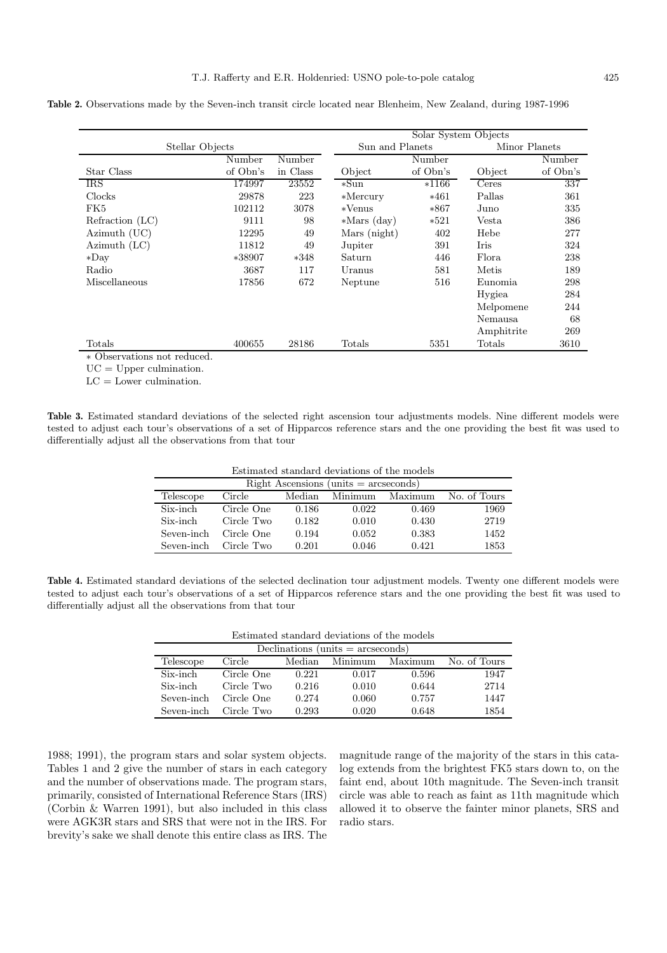**Table 2.** Observations made by the Seven-inch transit circle located near Blenheim, New Zealand, during 1987-1996

|                  | Solar System Objects |          |                 |          |            |               |  |
|------------------|----------------------|----------|-----------------|----------|------------|---------------|--|
|                  | Stellar Objects      |          | Sun and Planets |          |            | Minor Planets |  |
| Number<br>Number |                      |          |                 | Number   |            | Number        |  |
| Star Class       | of Obn's             | in Class | Object          | of Obn's | Object     | of Obn's      |  |
| <b>IRS</b>       | 174997               | 23552    | *Sun            | $*1166$  | Ceres      | 337           |  |
| Clocks           | 29878                | 223      | $*$ Mercury     | $*461$   | Pallas     | 361           |  |
| FK5              | 102112               | 3078     | $*$ Venus       | $*867$   | Juno       | 335           |  |
| Refraction (LC)  | 9111                 | 98       | $*Mars (day)$   | $*521$   | Vesta      | 386           |  |
| Azimuth (UC)     | 12295                | 49       | Mars (night)    | 402      | Hebe       | 277           |  |
| Azimuth $(LC)$   | 11812                | 49       | Jupiter         | 391      | Iris       | 324           |  |
| $*$ Day          | $*38907$             | $*348$   | Saturn          | 446      | Flora      | 238           |  |
| Radio            | 3687                 | 117      | Uranus          | 581      | Metis      | 189           |  |
| Miscellaneous    | 17856                | 672      | Neptune         | 516      | Eunomia    | 298           |  |
|                  |                      |          |                 |          | Hygiea     | 284           |  |
|                  |                      |          |                 |          | Melpomene  | 244           |  |
|                  |                      |          |                 |          | Nemausa    | 68            |  |
|                  |                      |          |                 |          | Amphitrite | 269           |  |
| Totals           | 400655               | 28186    | Totals          | 5351     | Totals     | 3610          |  |

 $UC = Upper$  culmination.

 $LC =$  Lower culmination.

**Table 3.** Estimated standard deviations of the selected right ascension tour adjustments models. Nine different models were tested to adjust each tour's observations of a set of Hipparcos reference stars and the one providing the best fit was used to differentially adjust all the observations from that tour

Estimated standard deviations of the models

| $Right$ Ascensions (units $=$ arcseconds) |            |        |         |         |              |  |  |  |
|-------------------------------------------|------------|--------|---------|---------|--------------|--|--|--|
| Telescope                                 | Circle     | Median | Minimum | Maximum | No. of Tours |  |  |  |
| Six-inch                                  | Circle One | 0.186  | 0.022   | 0.469   | 1969         |  |  |  |
| Six-inch                                  | Circle Two | 0.182  | 0.010   | 0.430   | 2719         |  |  |  |
| Seven-inch                                | Circle One | 0.194  | 0.052   | 0.383   | 1452         |  |  |  |
| Seven-inch                                | Circle Two | 0.201  | 0.046   | 0.421   | 1853         |  |  |  |

**Table 4.** Estimated standard deviations of the selected declination tour adjustment models. Twenty one different models were tested to adjust each tour's observations of a set of Hipparcos reference stars and the one providing the best fit was used to differentially adjust all the observations from that tour

| Estimated standard deviations of the models |  |
|---------------------------------------------|--|
|---------------------------------------------|--|

| Declinations (units $=$ arcseconds) |            |        |         |         |              |  |  |  |  |
|-------------------------------------|------------|--------|---------|---------|--------------|--|--|--|--|
| Telescope                           | Circle     | Median | Minimum | Maximum | No. of Tours |  |  |  |  |
| Six-inch                            | Circle One | 0.221  | 0.017   | 0.596   | 1947         |  |  |  |  |
| Six-inch                            | Circle Two | 0.216  | 0.010   | 0.644   | 2714         |  |  |  |  |
| Seven-inch                          | Circle One | 0.274  | 0.060   | 0.757   | 1447         |  |  |  |  |
| Seven-inch                          | Circle Two | 0.293  | 0.020   | 0.648   | 1854         |  |  |  |  |

1988; 1991), the program stars and solar system objects. Tables 1 and 2 give the number of stars in each category and the number of observations made. The program stars, primarily, consisted of International Reference Stars (IRS) (Corbin & Warren 1991), but also included in this class were AGK3R stars and SRS that were not in the IRS. For brevity's sake we shall denote this entire class as IRS. The magnitude range of the majority of the stars in this catalog extends from the brightest FK5 stars down to, on the faint end, about 10th magnitude. The Seven-inch transit circle was able to reach as faint as 11th magnitude which allowed it to observe the fainter minor planets, SRS and radio stars.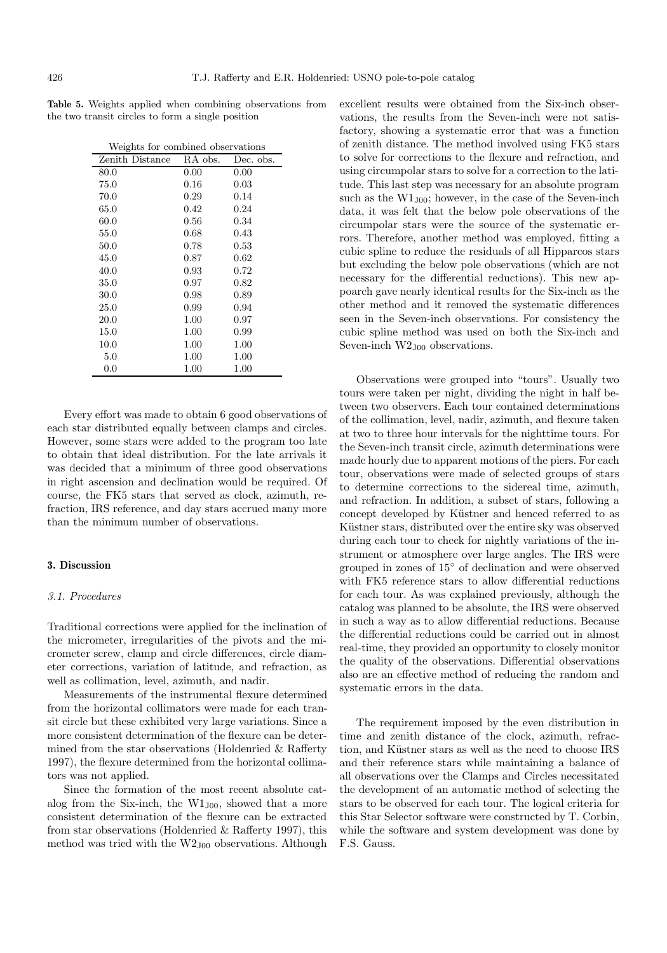**Table 5.** Weights applied when combining observations from the two transit circles to form a single position

| Weights for combined observations |         |           |
|-----------------------------------|---------|-----------|
| Zenith Distance                   | RA obs. | Dec. obs. |
| 80.0                              | 0.00    | 0.00      |
| 75.0                              | 0.16    | 0.03      |
| 70.0                              | 0.29    | 0.14      |
| 65.0                              | 0.42    | 0.24      |
| 60.0                              | 0.56    | 0.34      |
| 55.0                              | 0.68    | 0.43      |
| 50.0                              | 0.78    | 0.53      |
| 45.0                              | 0.87    | 0.62      |
| 40.0                              | 0.93    | 0.72      |
| 35.0                              | 0.97    | 0.82      |
| 30.0                              | 0.98    | 0.89      |
| 25.0                              | 0.99    | 0.94      |
| 20.0                              | 1.00    | 0.97      |
| 15.0                              | 1.00    | 0.99      |
| 10.0                              | 1.00    | 1.00      |
| 5.0                               | 1.00    | 1.00      |
| 0.0                               | 1.00    | 1.00      |

Every effort was made to obtain 6 good observations of each star distributed equally between clamps and circles. However, some stars were added to the program too late to obtain that ideal distribution. For the late arrivals it was decided that a minimum of three good observations in right ascension and declination would be required. Of course, the FK5 stars that served as clock, azimuth, refraction, IRS reference, and day stars accrued many more than the minimum number of observations.

# **3. Discussion**

#### 3.1. Procedures

Traditional corrections were applied for the inclination of the micrometer, irregularities of the pivots and the micrometer screw, clamp and circle differences, circle diameter corrections, variation of latitude, and refraction, as well as collimation, level, azimuth, and nadir.

Measurements of the instrumental flexure determined from the horizontal collimators were made for each transit circle but these exhibited very large variations. Since a more consistent determination of the flexure can be determined from the star observations (Holdenried & Rafferty 1997), the flexure determined from the horizontal collimators was not applied.

Since the formation of the most recent absolute catalog from the Six-inch, the  $W1_{J00}$ , showed that a more consistent determination of the flexure can be extracted from star observations (Holdenried & Rafferty 1997), this method was tried with the  $W2_{J00}$  observations. Although

excellent results were obtained from the Six-inch observations, the results from the Seven-inch were not satisfactory, showing a systematic error that was a function of zenith distance. The method involved using FK5 stars to solve for corrections to the flexure and refraction, and using circumpolar stars to solve for a correction to the latitude. This last step was necessary for an absolute program such as the  $W1_{J00}$ ; however, in the case of the Seven-inch data, it was felt that the below pole observations of the circumpolar stars were the source of the systematic errors. Therefore, another method was employed, fitting a cubic spline to reduce the residuals of all Hipparcos stars but excluding the below pole observations (which are not necessary for the differential reductions). This new appoarch gave nearly identical results for the Six-inch as the other method and it removed the systematic differences seen in the Seven-inch observations. For consistency the cubic spline method was used on both the Six-inch and Seven-inch  $W2_{J00}$  observations.

Observations were grouped into "tours". Usually two tours were taken per night, dividing the night in half between two observers. Each tour contained determinations of the collimation, level, nadir, azimuth, and flexure taken at two to three hour intervals for the nighttime tours. For the Seven-inch transit circle, azimuth determinations were made hourly due to apparent motions of the piers. For each tour, observations were made of selected groups of stars to determine corrections to the sidereal time, azimuth, and refraction. In addition, a subset of stars, following a concept developed by Küstner and henced referred to as Küstner stars, distributed over the entire sky was observed during each tour to check for nightly variations of the instrument or atmosphere over large angles. The IRS were grouped in zones of 15◦ of declination and were observed with FK5 reference stars to allow differential reductions for each tour. As was explained previously, although the catalog was planned to be absolute, the IRS were observed in such a way as to allow differential reductions. Because the differential reductions could be carried out in almost real-time, they provided an opportunity to closely monitor the quality of the observations. Differential observations also are an effective method of reducing the random and systematic errors in the data.

The requirement imposed by the even distribution in time and zenith distance of the clock, azimuth, refraction, and Küstner stars as well as the need to choose IRS and their reference stars while maintaining a balance of all observations over the Clamps and Circles necessitated the development of an automatic method of selecting the stars to be observed for each tour. The logical criteria for this Star Selector software were constructed by T. Corbin, while the software and system development was done by F.S. Gauss.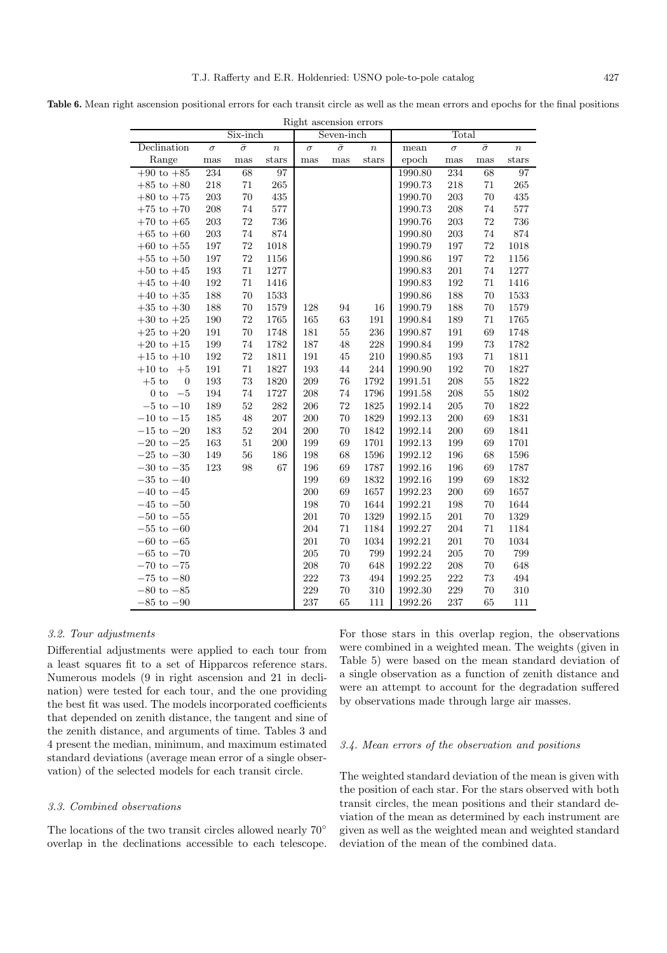**Table 6.** Mean right ascension positional errors for each transit circle as well as the mean errors and epochs for the final positions

| Right ascension errors    |              |                |                  |            |                |                  |         |          |                |                  |
|---------------------------|--------------|----------------|------------------|------------|----------------|------------------|---------|----------|----------------|------------------|
|                           |              | Six-inch       |                  | Seven-inch |                |                  | Total   |          |                |                  |
| Declination               | $\sigma$     | $\bar{\sigma}$ | $\boldsymbol{n}$ | $\sigma$   | $\bar{\sigma}$ | $\boldsymbol{n}$ | mean    | $\sigma$ | $\bar{\sigma}$ | $\boldsymbol{n}$ |
| Range                     | $_{\rm mas}$ | $_{\rm mas}$   | stars            | mas        | mas            | $_{\rm stars}$   | epoch   | mas      | $_{\rm mas}$   | stars            |
| $+90$ to $+85$            | 234          | 68             | $\overline{97}$  |            |                |                  | 1990.80 | 234      | 68             | 97               |
| $+85$ to $+80$            | 218          | 71             | 265              |            |                |                  | 1990.73 | 218      | 71             | 265              |
| $+80$ to $+75$            | $203\,$      | $70\,$         | 435              |            |                |                  | 1990.70 | 203      | 70             | 435              |
| $+75$ to $+70$            | 208          | 74             | 577              |            |                |                  | 1990.73 | 208      | 74             | 577              |
| $+70$ to $+65$            | $203\,$      | $\rm 72$       | 736              |            |                |                  | 1990.76 | 203      | 72             | 736              |
| $+65$ to $+60$            | 203          | 74             | 874              |            |                |                  | 1990.80 | 203      | 74             | 874              |
| $+60$ to $+55$            | $197\,$      | $72\,$         | 1018             |            |                |                  | 1990.79 | 197      | 72             | 1018             |
| $+55$ to $+50$            | 197          | 72             | 1156             |            |                |                  | 1990.86 | 197      | 72             | 1156             |
| $+50$ to $+45$            | 193          | $71\,$         | 1277             |            |                |                  | 1990.83 | 201      | 74             | 1277             |
| $+45$ to $+40$            | 192          | 71             | 1416             |            |                |                  | 1990.83 | 192      | 71             | 1416             |
| $+40$ to $+35$            | 188          | $70\,$         | 1533             |            |                |                  | 1990.86 | 188      | 70             | 1533             |
| $+35$ to $+30$            | 188          | 70             | 1579             | 128        | 94             | 16               | 1990.79 | 188      | 70             | 1579             |
| $+30$ to $+25$            | 190          | $72\,$         | 1765             | 165        | 63             | $191\,$          | 1990.84 | 189      | 71             | 1765             |
| $+25$ to $+20$            | 191          | $70\,$         | 1748             | 181        | 55             | 236              | 1990.87 | 191      | 69             | 1748             |
| $+20$ to $+15$            | 199          | $74\,$         | 1782             | 187        | 48             | 228              | 1990.84 | 199      | 73             | 1782             |
| $+15$ to $+10$            | 192          | $72\,$         | 1811             | 191        | 45             | 210              | 1990.85 | 193      | 71             | 1811             |
| $+10$ to<br>$+5$          | 191          | $71\,$         | 1827             | 193        | 44             | $\bf 244$        | 1990.90 | 192      | 70             | 1827             |
| $+5$ to<br>$\overline{0}$ | 193          | $73\,$         | 1820             | 209        | 76             | 1792             | 1991.51 | 208      | $55\,$         | 1822             |
| $-5\,$<br>$0$ to          | 194          | 74             | 1727             | 208        | 74             | 1796             | 1991.58 | 208      | $55\,$         | 1802             |
| $-5$ to $-10$             | 189          | $52\,$         | 282              | 206        | 72             | 1825             | 1992.14 | 205      | 70             | 1822             |
| $-10$ to $-15$            | 185          | 48             | $207\,$          | 200        | 70             | 1829             | 1992.13 | 200      | 69             | 1831             |
| $-15$ to $-20$            | 183          | $52\,$         | 204              | 200        | 70             | 1842             | 1992.14 | 200      | 69             | 1841             |
| $-20$ to $-25$            | 163          | $51\,$         | 200              | 199        | 69             | 1701             | 1992.13 | 199      | 69             | 1701             |
| $-25$ to $-30$            | 149          | 56             | 186              | 198        | 68             | 1596             | 1992.12 | 196      | 68             | 1596             |
| $-30$ to $-35$            | 123          | 98             | 67               | 196        | 69             | 1787             | 1992.16 | 196      | 69             | 1787             |
| $-35$ to $-40$            |              |                |                  | 199        | 69             | 1832             | 1992.16 | 199      | 69             | 1832             |
| $-40$ to $-45$            |              |                |                  | 200        | 69             | 1657             | 1992.23 | 200      | 69             | 1657             |
| $-45$ to $-50$            |              |                |                  | 198        | 70             | 1644             | 1992.21 | 198      | 70             | 1644             |
| $-50$ to $-55$            |              |                |                  | 201        | 70             | 1329             | 1992.15 | 201      | 70             | 1329             |
| $-55$ to $-60$            |              |                |                  | 204        | 71             | 1184             | 1992.27 | 204      | 71             | 1184             |
| $-60$ to $-65$            |              |                |                  | 201        | 70             | 1034             | 1992.21 | 201      | 70             | 1034             |
| $-65$ to $-70$            |              |                |                  | 205        | 70             | 799              | 1992.24 | 205      | 70             | 799              |
| $-70$ to $-75$            |              |                |                  | 208        | 70             | 648              | 1992.22 | 208      | 70             | 648              |
| $-75$ to $-80$            |              |                |                  | 222        | 73             | 494              | 1992.25 | $222\,$  | 73             | 494              |
| $-80$ to $-85$            |              |                |                  | 229        | 70             | 310              | 1992.30 | 229      | 70             | 310              |
| $-85$ to $-90$            |              |                |                  | 237        | 65             | 111              | 1992.26 | 237      | 65             | 111              |

## 3.2. Tour adjustments

Differential adjustments were applied to each tour from a least squares fit to a set of Hipparcos reference stars. Numerous models (9 in right ascension and 21 in declination) were tested for each tour, and the one providing the best fit was used. The models incorporated coefficients that depended on zenith distance, the tangent and sine of the zenith distance, and arguments of time. Tables 3 and 4 present the median, minimum, and maximum estimated standard deviations (average mean error of a single observation) of the selected models for each transit circle.

#### 3.3. Combined observations

The locations of the two transit circles allowed nearly 70° overlap in the declinations accessible to each telescope. For those stars in this overlap region, the observations were combined in a weighted mean. The weights (given in Table 5) were based on the mean standard deviation of a single observation as a function of zenith distance and were an attempt to account for the degradation suffered by observations made through large air masses.

#### 3.4. Mean errors of the observation and positions

The weighted standard deviation of the mean is given with the position of each star. For the stars observed with both transit circles, the mean positions and their standard deviation of the mean as determined by each instrument are given as well as the weighted mean and weighted standard deviation of the mean of the combined data.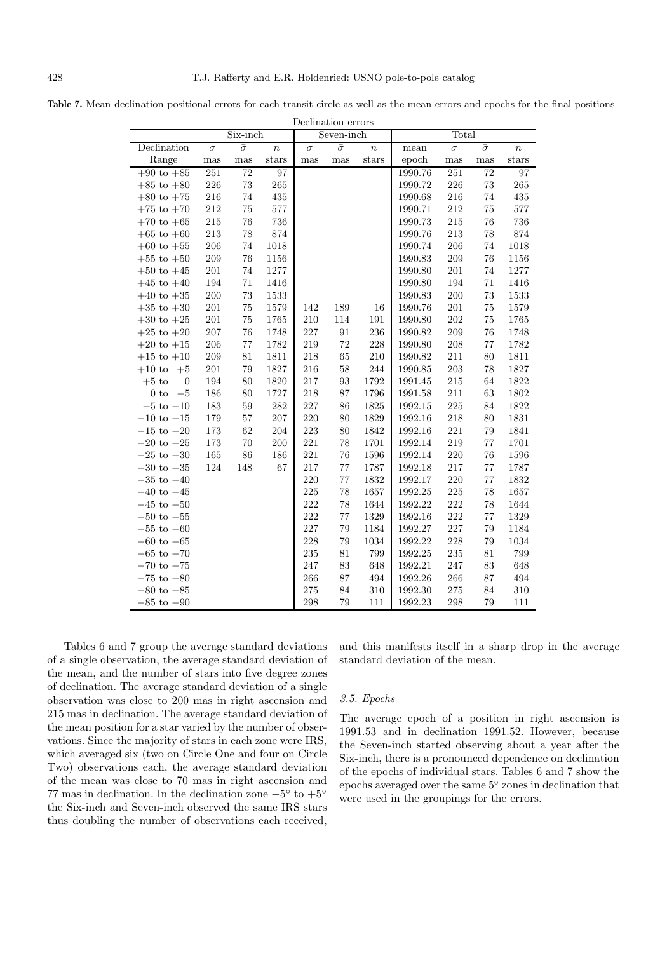|--|

| Declination errors          |              |                 |                  |            |                |                  |         |          |                |                  |
|-----------------------------|--------------|-----------------|------------------|------------|----------------|------------------|---------|----------|----------------|------------------|
|                             |              | Six-inch        |                  | Seven-inch |                |                  | Total   |          |                |                  |
| Declination                 | $\sigma$     | $\bar{\sigma}$  | $\boldsymbol{n}$ | $\sigma$   | $\bar{\sigma}$ | $\boldsymbol{n}$ | mean    | $\sigma$ | $\bar{\sigma}$ | $\boldsymbol{n}$ |
| Range                       | $_{\rm mas}$ | $_{\rm mas}$    | stars            | mas        | mas            | stars            | epoch   | mas      | $_{\rm mas}$   | stars            |
| $+90$ to $+85$              | 251          | $\overline{72}$ | 97               |            |                |                  | 1990.76 | 251      | 72             | 97               |
| $+85$ to $+80$              | 226          | 73              | 265              |            |                |                  | 1990.72 | 226      | 73             | 265              |
| $+80$ to $+75$              | 216          | 74              | 435              |            |                |                  | 1990.68 | 216      | 74             | 435              |
| $+75$ to $+70$              | 212          | 75              | 577              |            |                |                  | 1990.71 | $212\,$  | 75             | 577              |
| $+70$ to $+65$              | 215          | 76              | 736              |            |                |                  | 1990.73 | 215      | 76             | 736              |
| $+65$ to $+60$              | 213          | 78              | 874              |            |                |                  | 1990.76 | $213\,$  | 78             | 874              |
| $+60$ to $+55$              | 206          | 74              | 1018             |            |                |                  | 1990.74 | 206      | 74             | 1018             |
| $+55$ to $+50$              | 209          | 76              | 1156             |            |                |                  | 1990.83 | 209      | 76             | 1156             |
| $+50$ to $+45$              | $201\,$      | 74              | 1277             |            |                |                  | 1990.80 | 201      | 74             | 1277             |
| $+45$ to $+40$              | 194          | 71              | 1416             |            |                |                  | 1990.80 | 194      | 71             | 1416             |
| $+40$ to $+35$              | 200          | $73\,$          | 1533             |            |                |                  | 1990.83 | 200      | 73             | 1533             |
| $+35$ to $+30$              | $201\,$      | $75\,$          | 1579             | 142        | 189            | 16               | 1990.76 | $201\,$  | 75             | 1579             |
| $+30$ to $+25$              | $201\,$      | $75\,$          | 1765             | 210        | 114            | 191              | 1990.80 | $202\,$  | 75             | 1765             |
| $+25$ to $+20$              | 207          | 76              | 1748             | 227        | 91             | 236              | 1990.82 | $209\,$  | 76             | 1748             |
| $+20$ to $+15$              | 206          | $77\,$          | 1782             | 219        | 72             | 228              | 1990.80 | $208\,$  | 77             | 1782             |
| $+15$ to $+10$              | 209          | $81\,$          | 1811             | 218        | 65             | 210              | 1990.82 | 211      | 80             | 1811             |
| $+10\ {\rm to}$<br>$+5$     | $201\,$      | 79              | 1827             | 216        | 58             | 244              | 1990.85 | $203\,$  | 78             | 1827             |
| $+5$ to<br>$\boldsymbol{0}$ | 194          | 80              | 1820             | 217        | 93             | 1792             | 1991.45 | $215\,$  | 64             | 1822             |
| $0$ to<br>$-5$              | 186          | 80              | 1727             | 218        | 87             | 1796             | 1991.58 | 211      | 63             | 1802             |
| $-5$ to $-10\,$             | 183          | 59              | 282              | 227        | 86             | 1825             | 1992.15 | $225\,$  | 84             | 1822             |
| $-10$ to $-15$              | 179          | 57              | 207              | 220        | 80             | 1829             | 1992.16 | $218\,$  | 80             | 1831             |
| $-15$ to $-20$              | 173          | 62              | 204              | 223        | 80             | 1842             | 1992.16 | $221\,$  | 79             | 1841             |
| $-20$ to $-25$              | 173          | 70              | 200              | 221        | 78             | 1701             | 1992.14 | 219      | 77             | 1701             |
| $-25$ to $-30$              | 165          | 86              | 186              | 221        | 76             | 1596             | 1992.14 | 220      | 76             | 1596             |
| $-30$ to $-35$              | 124          | 148             | 67               | 217        | 77             | 1787             | 1992.18 | 217      | 77             | 1787             |
| $-35$ to $-40$              |              |                 |                  | 220        | $77\,$         | 1832             | 1992.17 | $220\,$  | $77\,$         | 1832             |
| $-40$ to $-45$              |              |                 |                  | 225        | 78             | 1657             | 1992.25 | $225\,$  | 78             | 1657             |
| $-45$ to $-50$              |              |                 |                  | 222        | 78             | 1644             | 1992.22 | $222\,$  | 78             | 1644             |
| $-50$ to $-55$              |              |                 |                  | 222        | 77             | 1329             | 1992.16 | 222      | 77             | 1329             |
| $-55$ to $-60\,$            |              |                 |                  | 227        | 79             | 1184             | 1992.27 | 227      | 79             | 1184             |
| $-60$ to $-65$              |              |                 |                  | 228        | 79             | 1034             | 1992.22 | 228      | 79             | 1034             |
| $-65$ to $-70$              |              |                 |                  | 235        | 81             | 799              | 1992.25 | 235      | 81             | 799              |
| $-70$ to $-75$              |              |                 |                  | 247        | 83             | 648              | 1992.21 | 247      | 83             | 648              |
| $-75$ to $-80$              |              |                 |                  | 266        | 87             | 494              | 1992.26 | 266      | 87             | 494              |
| $-80$ to $-85$              |              |                 |                  | 275        | 84             | 310              | 1992.30 | 275      | 84             | 310              |
| $-85$ to $-90$              |              |                 |                  | 298        | 79             | 111              | 1992.23 | 298      | 79             | 111              |

Tables 6 and 7 group the average standard deviations of a single observation, the average standard deviation of the mean, and the number of stars into five degree zones of declination. The average standard deviation of a single observation was close to 200 mas in right ascension and 215 mas in declination. The average standard deviation of the mean position for a star varied by the number of observations. Since the majority of stars in each zone were IRS, which averaged six (two on Circle One and four on Circle Two) observations each, the average standard deviation of the mean was close to 70 mas in right ascension and 77 mas in declination. In the declination zone  $-5^\circ$  to  $+5^\circ$ the Six-inch and Seven-inch observed the same IRS stars thus doubling the number of observations each received,

and this manifests itself in a sharp drop in the average standard deviation of the mean.

# 3.5. Epochs

The average epoch of a position in right ascension is 1991.53 and in declination 1991.52. However, because the Seven-inch started observing about a year after the Six-inch, there is a pronounced dependence on declination of the epochs of individual stars. Tables 6 and 7 show the epochs averaged over the same 5◦ zones in declination that were used in the groupings for the errors.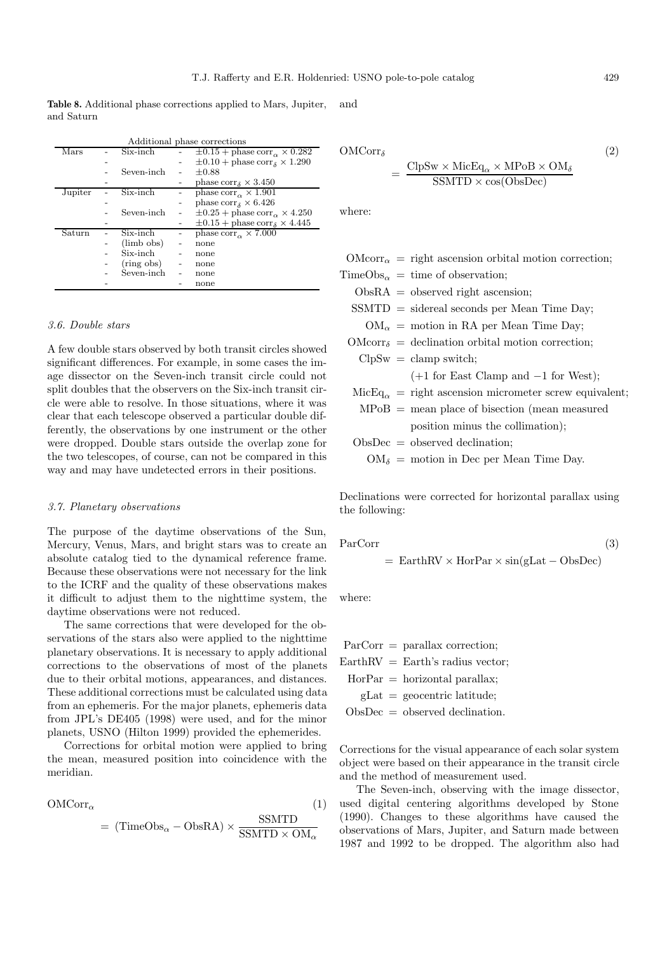**Table 8.** Additional phase corrections applied to Mars, Jupiter, and Saturn and

|         | Additional phase corrections |            |  |                                                      |  |  |
|---------|------------------------------|------------|--|------------------------------------------------------|--|--|
| Mars    |                              | Six-inch   |  | $\pm 0.15 + \text{phase corr}_{\alpha} \times 0.282$ |  |  |
|         |                              |            |  | $\pm 0.10 + \text{phase corr}_{\delta} \times 1.290$ |  |  |
|         |                              | Seven-inch |  | $\pm 0.88$                                           |  |  |
|         |                              |            |  | phase $corr_{\delta} \times 3.450$                   |  |  |
| Jupiter |                              | Six-inch   |  | phase $corr_{\alpha} \times 1.901$                   |  |  |
|         |                              |            |  | phase $corr_{\delta} \times 6.426$                   |  |  |
|         |                              | Seven-inch |  | $\pm 0.25 + \text{phase corr}_{\alpha} \times 4.250$ |  |  |
|         |                              |            |  | $\pm 0.15 +$ phase corr <sub>s</sub> $\times$ 4.445  |  |  |
| Saturn  |                              | Six-inch   |  | phase $corr_{\alpha} \times 7.000$                   |  |  |
|         |                              | (limb obs) |  | none                                                 |  |  |
|         |                              | Six-inch   |  | none                                                 |  |  |
|         |                              | (ring obs) |  | none                                                 |  |  |
|         |                              | Seven-inch |  | none                                                 |  |  |
|         |                              |            |  | none                                                 |  |  |

# 3.6. Double stars

A few double stars observed by both transit circles showed significant differences. For example, in some cases the image dissector on the Seven-inch transit circle could not split doubles that the observers on the Six-inch transit circle were able to resolve. In those situations, where it was clear that each telescope observed a particular double differently, the observations by one instrument or the other were dropped. Double stars outside the overlap zone for the two telescopes, of course, can not be compared in this way and may have undetected errors in their positions.

#### 3.7. Planetary observations

The purpose of the daytime observations of the Sun, Mercury, Venus, Mars, and bright stars was to create an absolute catalog tied to the dynamical reference frame. Because these observations were not necessary for the link to the ICRF and the quality of these observations makes it difficult to adjust them to the nighttime system, the daytime observations were not reduced.

The same corrections that were developed for the observations of the stars also were applied to the nighttime planetary observations. It is necessary to apply additional corrections to the observations of most of the planets due to their orbital motions, appearances, and distances. These additional corrections must be calculated using data from an ephemeris. For the major planets, ephemeris data from JPL's DE405 (1998) were used, and for the minor planets, USNO (Hilton 1999) provided the ephemerides.

Corrections for orbital motion were applied to bring the mean, measured position into coincidence with the meridian.

$$
OMCorr_{\alpha} \tag{1}
$$

$$
= (\text{TimeObs}_{\alpha} - \text{ObsRA}) \times \frac{\text{SSMTD}}{\text{SSMTD} \times \text{OM}_{\alpha}}
$$

$$
\text{OMCorr}_{\delta} = \frac{\text{ClpSw} \times \text{MicEq}_{\alpha} \times \text{MPoB} \times \text{OM}_{\delta}}{\text{SSMTD} \times \text{cos}(\text{ObsDec})}
$$
(2)

where:

 $\text{OMcorr}_{\alpha}$  = right ascension orbital motion correction;  $TimeObs_{\alpha} = time of observation;$  $ObsRA = observed right ascension;$ SSMTD = sidereal seconds per Mean Time Day;  $OM_{\alpha}$  = motion in RA per Mean Time Day;  $\text{OMcorr}_{\delta} = \text{ declination orbital motion correction};$  $ClpSw = clamp switch;$ (+1 for East Clamp and −1 for West);  $\text{MicEq}_{\alpha} = \text{right ascension micrometer screw equivalent};$  $MPoB$  = mean place of bisection (mean measured position minus the collimation);  $ObsDec = observed declination;$  $OM_{\delta} =$  motion in Dec per Mean Time Day.

Declinations were corrected for horizontal parallax using the following:

ParCorr (3)

$$
= EarthRV \times HorPar \times sin(gLat - ObsDec)
$$

where:

ParCorr = parallax correction;  $EarthRV = Earth's$  radius vector;  $HorPar = horizontal parallax;$  $gLat = geocentric$  latitude; ObsDec = observed declination.

Corrections for the visual appearance of each solar system object were based on their appearance in the transit circle and the method of measurement used.

The Seven-inch, observing with the image dissector, used digital centering algorithms developed by Stone (1990). Changes to these algorithms have caused the observations of Mars, Jupiter, and Saturn made between 1987 and 1992 to be dropped. The algorithm also had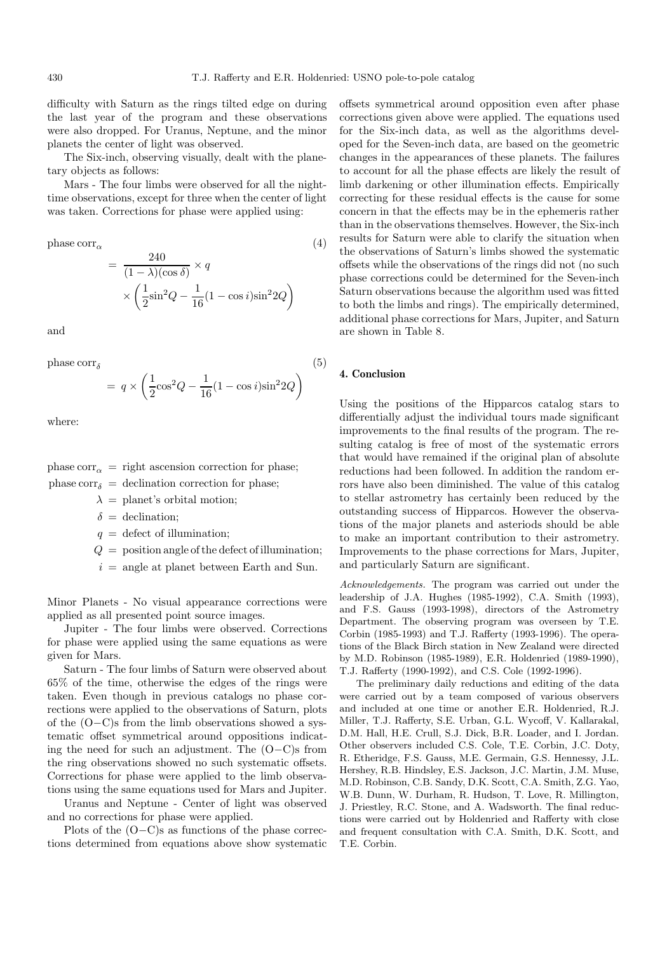difficulty with Saturn as the rings tilted edge on during the last year of the program and these observations were also dropped. For Uranus, Neptune, and the minor planets the center of light was observed.

The Six-inch, observing visually, dealt with the planetary objects as follows:

Mars - The four limbs were observed for all the nighttime observations, except for three when the center of light was taken. Corrections for phase were applied using:

phase  $corr_{\alpha}$  (4)

$$
= \frac{240}{(1-\lambda)(\cos\delta)} \times q
$$

$$
\times \left(\frac{1}{2}\sin^2 Q - \frac{1}{16}(1-\cos i)\sin^2 2Q\right)
$$

and

phase  $corr_{\delta}$  (5)

$$
= q \times \left(\frac{1}{2}\cos^2 Q - \frac{1}{16}(1 - \cos i)\sin^2 2Q\right)
$$

where:

phase  $corr_{\alpha}$  = right ascension correction for phase; phase corr $\delta$  = declination correction for phase;

 $\lambda =$  planet's orbital motion;

 $\delta =$  declination;

 $q =$  defect of illumination;

- $Q =$  position angle of the defect of illumination;
- $i =$  angle at planet between Earth and Sun.

Minor Planets - No visual appearance corrections were applied as all presented point source images.

Jupiter - The four limbs were observed. Corrections for phase were applied using the same equations as were given for Mars.

Saturn - The four limbs of Saturn were observed about 65% of the time, otherwise the edges of the rings were taken. Even though in previous catalogs no phase corrections were applied to the observations of Saturn, plots of the (O−C)s from the limb observations showed a systematic offset symmetrical around oppositions indicating the need for such an adjustment. The (O−C)s from the ring observations showed no such systematic offsets. Corrections for phase were applied to the limb observations using the same equations used for Mars and Jupiter.

Uranus and Neptune - Center of light was observed and no corrections for phase were applied.

Plots of the (O−C)s as functions of the phase corrections determined from equations above show systematic offsets symmetrical around opposition even after phase corrections given above were applied. The equations used for the Six-inch data, as well as the algorithms developed for the Seven-inch data, are based on the geometric changes in the appearances of these planets. The failures to account for all the phase effects are likely the result of limb darkening or other illumination effects. Empirically correcting for these residual effects is the cause for some concern in that the effects may be in the ephemeris rather than in the observations themselves. However, the Six-inch results for Saturn were able to clarify the situation when the observations of Saturn's limbs showed the systematic offsets while the observations of the rings did not (no such phase corrections could be determined for the Seven-inch Saturn observations because the algorithm used was fitted to both the limbs and rings). The empirically determined, additional phase corrections for Mars, Jupiter, and Saturn are shown in Table 8.

## **4. Conclusion**

Using the positions of the Hipparcos catalog stars to differentially adjust the individual tours made significant improvements to the final results of the program. The resulting catalog is free of most of the systematic errors that would have remained if the original plan of absolute reductions had been followed. In addition the random errors have also been diminished. The value of this catalog to stellar astrometry has certainly been reduced by the outstanding success of Hipparcos. However the observations of the major planets and asteriods should be able to make an important contribution to their astrometry. Improvements to the phase corrections for Mars, Jupiter, and particularly Saturn are significant.

Acknowledgements. The program was carried out under the leadership of J.A. Hughes (1985-1992), C.A. Smith (1993), and F.S. Gauss (1993-1998), directors of the Astrometry Department. The observing program was overseen by T.E. Corbin (1985-1993) and T.J. Rafferty (1993-1996). The operations of the Black Birch station in New Zealand were directed by M.D. Robinson (1985-1989), E.R. Holdenried (1989-1990), T.J. Rafferty (1990-1992), and C.S. Cole (1992-1996).

The preliminary daily reductions and editing of the data were carried out by a team composed of various observers and included at one time or another E.R. Holdenried, R.J. Miller, T.J. Rafferty, S.E. Urban, G.L. Wycoff, V. Kallarakal, D.M. Hall, H.E. Crull, S.J. Dick, B.R. Loader, and I. Jordan. Other observers included C.S. Cole, T.E. Corbin, J.C. Doty, R. Etheridge, F.S. Gauss, M.E. Germain, G.S. Hennessy, J.L. Hershey, R.B. Hindsley, E.S. Jackson, J.C. Martin, J.M. Muse, M.D. Robinson, C.B. Sandy, D.K. Scott, C.A. Smith, Z.G. Yao, W.B. Dunn, W. Durham, R. Hudson, T. Love, R. Millington, J. Priestley, R.C. Stone, and A. Wadsworth. The final reductions were carried out by Holdenried and Rafferty with close and frequent consultation with C.A. Smith, D.K. Scott, and T.E. Corbin.